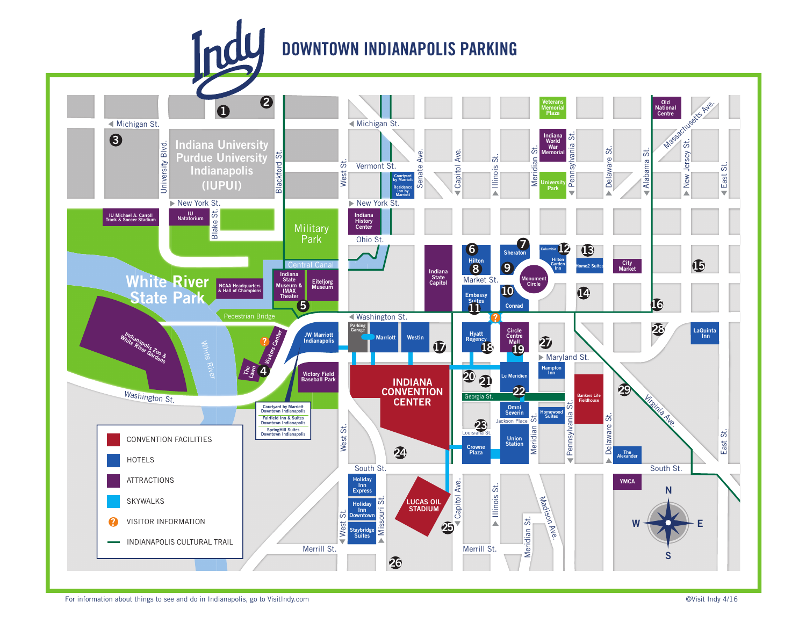